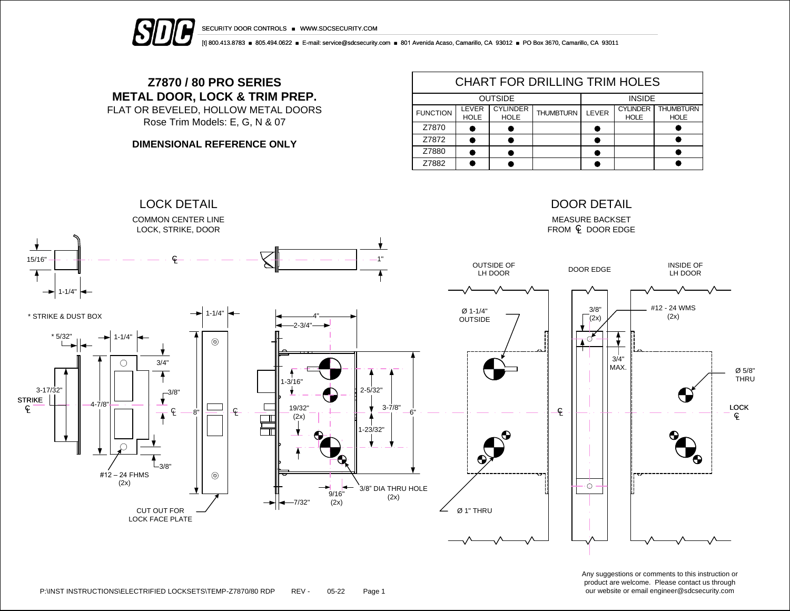

SECURITY DOOR CONTROLS ■ WWW.SDCSECURITY.COM

[t] 800.413.8783 ■ 805.494.0622 ■ E-mail: service@sdcsecurity.com ■ 801 Avenida Acaso, Camarillo, CA 93012 ■ PO Box 3670, Camarillo, CA 93011

## **Z7870 / 80 PRO SERIES METAL DOOR, LOCK & TRIM PREP.**

FLAT OR BEVELED, HOLLOW METAL DOORS Rose Trim Models: E, G, N & 07

**DIMENSIONAL REFERENCE ONLY**

| <b>CHART FOR DRILLING TRIM HOLES</b> |                      |                                |                  |               |                                |                                 |  |  |  |  |
|--------------------------------------|----------------------|--------------------------------|------------------|---------------|--------------------------------|---------------------------------|--|--|--|--|
|                                      | <b>OUTSIDE</b>       | <b>INSIDE</b>                  |                  |               |                                |                                 |  |  |  |  |
| <b>FUNCTION</b>                      | LEVER<br><b>HOLE</b> | <b>CYLINDER</b><br><b>HOLE</b> | <b>THUMBTURN</b> | <b>I FVFR</b> | <b>CYLINDER</b><br><b>HOLE</b> | <b>THUMBTURN</b><br><b>HOLE</b> |  |  |  |  |
| Z7870                                |                      |                                |                  |               |                                |                                 |  |  |  |  |
| Z7872                                |                      |                                |                  |               |                                |                                 |  |  |  |  |
| Z7880                                |                      |                                |                  |               |                                |                                 |  |  |  |  |
| Z7882                                |                      |                                |                  |               |                                |                                 |  |  |  |  |



Any suggestions or comments to this instruction or product are welcome. Please contact us through our website or email engineer@sdcsecurity.com